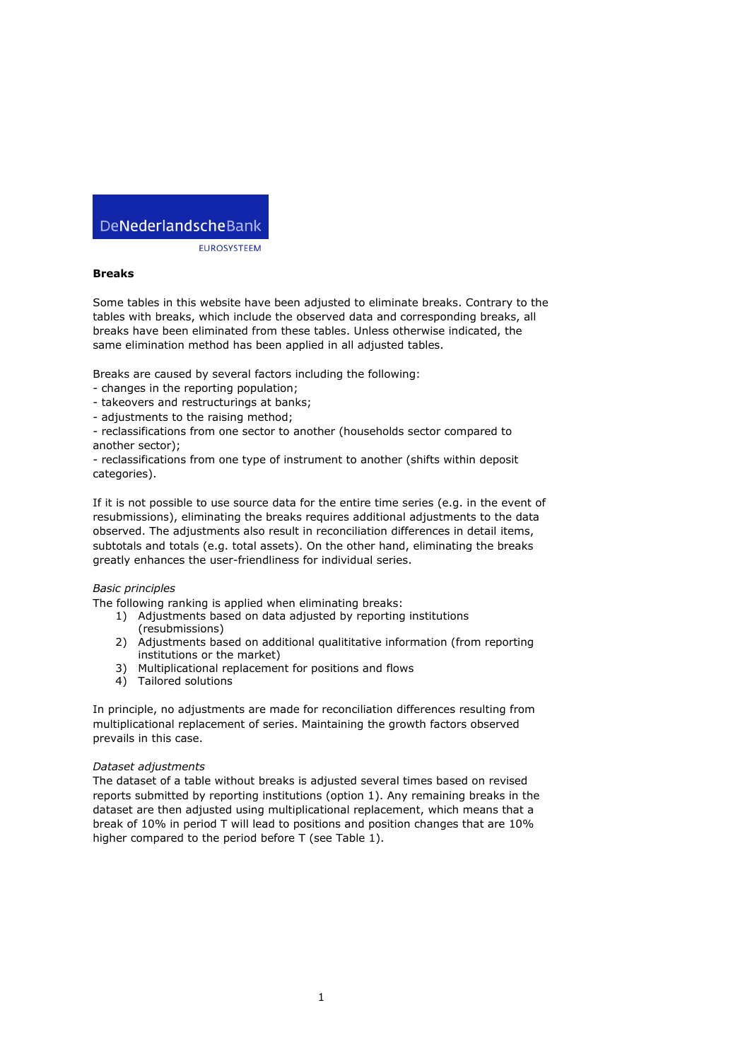# DeNederlandscheBank

**EUROSYSTEEM** 

## **Breaks**

Some tables in this website have been adjusted to eliminate breaks. Contrary to the tables with breaks, which include the observed data and corresponding breaks, all breaks have been eliminated from these tables. Unless otherwise indicated, the same elimination method has been applied in all adjusted tables.

Breaks are caused by several factors including the following:

- changes in the reporting population;
- takeovers and restructurings at banks;
- adjustments to the raising method;
- reclassifications from one sector to another (households sector compared to another sector);

- reclassifications from one type of instrument to another (shifts within deposit categories).

If it is not possible to use source data for the entire time series (e.g. in the event of resubmissions), eliminating the breaks requires additional adjustments to the data observed. The adjustments also result in reconciliation differences in detail items, subtotals and totals (e.g. total assets). On the other hand, eliminating the breaks greatly enhances the user-friendliness for individual series.

## *Basic principles*

The following ranking is applied when eliminating breaks:

- 1) Adjustments based on data adjusted by reporting institutions (resubmissions)
- 2) Adjustments based on additional qualititative information (from reporting institutions or the market)
- 3) Multiplicational replacement for positions and flows
- 4) Tailored solutions

In principle, no adjustments are made for reconciliation differences resulting from multiplicational replacement of series. Maintaining the growth factors observed prevails in this case.

### *Dataset adjustments*

The dataset of a table without breaks is adjusted several times based on revised reports submitted by reporting institutions (option 1). Any remaining breaks in the dataset are then adjusted using multiplicational replacement, which means that a break of 10% in period T will lead to positions and position changes that are 10% higher compared to the period before T (see Table 1).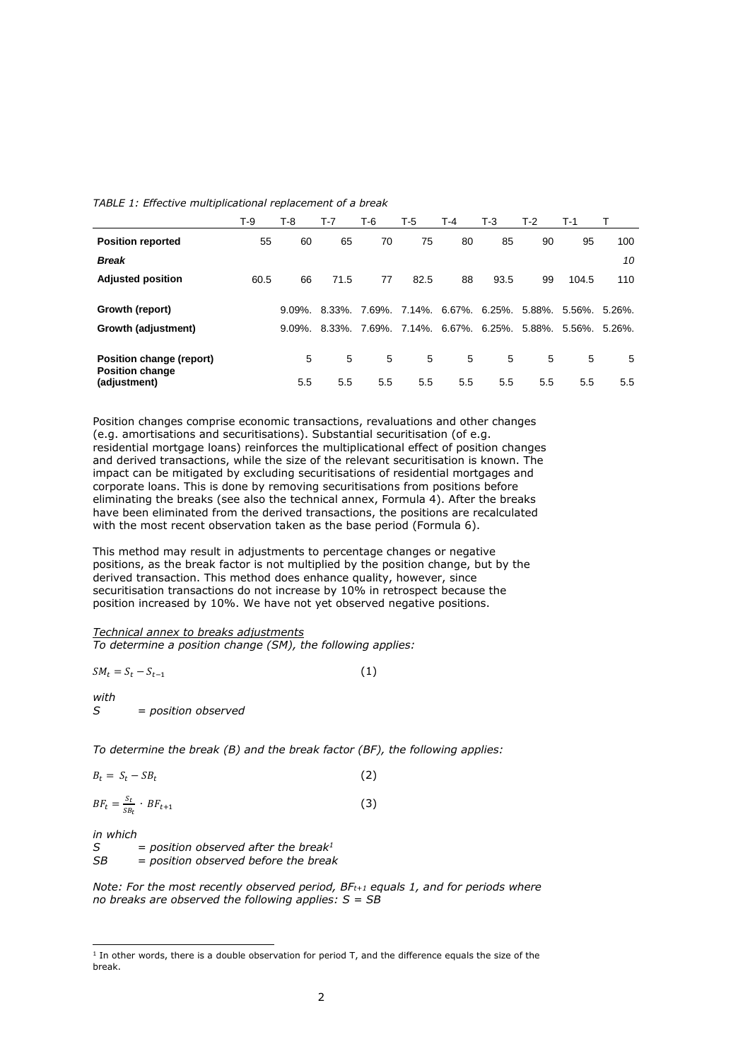|  |  |  | TABLE 1: Effective multiplicational replacement of a break |  |
|--|--|--|------------------------------------------------------------|--|
|--|--|--|------------------------------------------------------------|--|

|                                                                    | T-9  | T-8        | T-7      | T-6      | T-5      | T-4      | T-3      | $T-2$                                     | T-1      |            |
|--------------------------------------------------------------------|------|------------|----------|----------|----------|----------|----------|-------------------------------------------|----------|------------|
| <b>Position reported</b>                                           | 55   | 60         | 65       | 70       | 75       | 80       | 85       | 90                                        | 95       | 100        |
| <b>Break</b>                                                       |      |            |          |          |          |          |          |                                           |          | 10         |
| <b>Adjusted position</b>                                           | 60.5 | 66         | 71.5     | 77       | 82.5     | 88       | 93.5     | 99                                        | 104.5    | 110        |
| Growth (report)                                                    |      | $9.09\%$ . | 8.33%.   |          |          |          |          | 7.69%, 7.14%, 6.67%, 6.25%, 5.88%, 5.56%, |          | $5.26\%$ . |
| Growth (adjustment)                                                |      | $9.09\%$ . | 8.33%.   |          |          |          |          | 7.69%, 7.14%, 6.67%, 6.25%, 5.88%,        | 5.56%.   | $5.26\%$ . |
| Position change (report)<br><b>Position change</b><br>(adjustment) |      | 5<br>5.5   | 5<br>5.5 | 5<br>5.5 | 5<br>5.5 | 5<br>5.5 | 5<br>5.5 | 5<br>5.5                                  | 5<br>5.5 | -5<br>5.5  |

Position changes comprise economic transactions, revaluations and other changes (e.g. amortisations and securitisations). Substantial securitisation (of e.g. residential mortgage loans) reinforces the multiplicational effect of position changes and derived transactions, while the size of the relevant securitisation is known. The impact can be mitigated by excluding securitisations of residential mortgages and corporate loans. This is done by removing securitisations from positions before eliminating the breaks (see also the technical annex, Formula 4). After the breaks have been eliminated from the derived transactions, the positions are recalculated with the most recent observation taken as the base period (Formula 6).

This method may result in adjustments to percentage changes or negative positions, as the break factor is not multiplied by the position change, but by the derived transaction. This method does enhance quality, however, since securitisation transactions do not increase by 10% in retrospect because the position increased by 10%. We have not yet observed negative positions.

### *Technical annex to breaks adjustments*

*To determine a position change (SM), the following applies:*

$$
SM_t = S_t - S_{t-1} \tag{1}
$$

*with*

*S = position observed*

*To determine the break (B) and the break factor (BF), the following applies:*

$$
B_t = S_t - S B_t \tag{2}
$$

$$
BF_t = \frac{s_t}{s_{t}} \cdot BF_{t+1} \tag{3}
$$

*in which*

1

*S = position observed after the break<sup>1</sup>*  $=$  *position observed before the break* 

*Note: For the most recently observed period, BFt+1 equals 1, and for periods where no breaks are observed the following applies: S = SB*

 $<sup>1</sup>$  In other words, there is a double observation for period T, and the difference equals the size of the</sup> break.